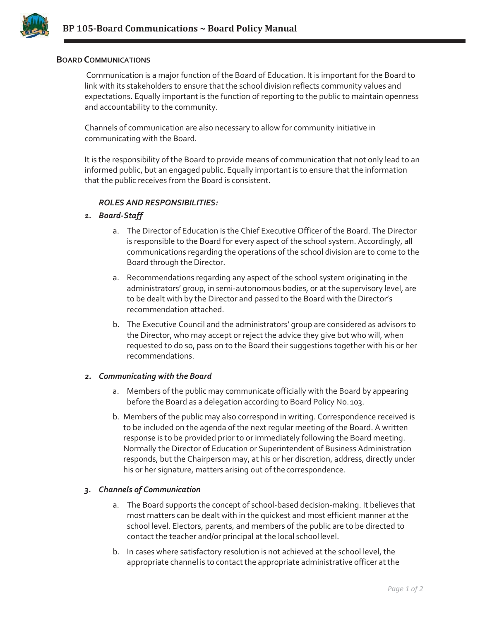

## **BOARD COMMUNICATIONS**

Communication is a major function of the Board of Education. It is important for the Board to link with its stakeholders to ensure that the school division reflects community values and expectations. Equally important is the function of reporting to the public to maintain openness and accountability to the community.

Channels of communication are also necessary to allow for community initiative in communicating with the Board.

It is the responsibility of the Board to provide means of communication that not only lead to an informed public, but an engaged public. Equally important is to ensure that the information that the public receives from the Board is consistent.

## *ROLES AND RESPONSIBILITIES:*

#### *1. Board-Staff*

- a. The Director of Education is the Chief Executive Officer of the Board. The Director is responsible to the Board for every aspect of the school system. Accordingly, all communications regarding the operations of the school division are to come to the Board through the Director.
- a. Recommendations regarding any aspect of the school system originating in the administrators' group, in semi-autonomous bodies, or at the supervisory level, are to be dealt with by the Director and passed to the Board with the Director's recommendation attached.
- b. The Executive Council and the administrators' group are considered as advisors to the Director, who may accept or reject the advice they give but who will, when requested to do so, pass on to the Board their suggestions together with his or her recommendations.

#### *2. Communicating with the Board*

- a. Members of the public may communicate officially with the Board by appearing before the Board as a delegation according to Board Policy No.103.
- b. Members of the public may also correspond in writing. Correspondence received is to be included on the agenda of the next regular meeting of the Board. A written response is to be provided prior to or immediately following the Board meeting. Normally the Director of Education or Superintendent of Business Administration responds, but the Chairperson may, at his or her discretion, address, directly under his or her signature, matters arising out of the correspondence.

## *3. Channels of Communication*

- a. The Board supports the concept of school-based decision-making. It believes that most matters can be dealt with in the quickest and most efficient manner at the school level. Electors, parents, and members of the public are to be directed to contact the teacher and/or principal at the local school level.
- b. In cases where satisfactory resolution is not achieved at the school level, the appropriate channel is to contact the appropriate administrative officer at the